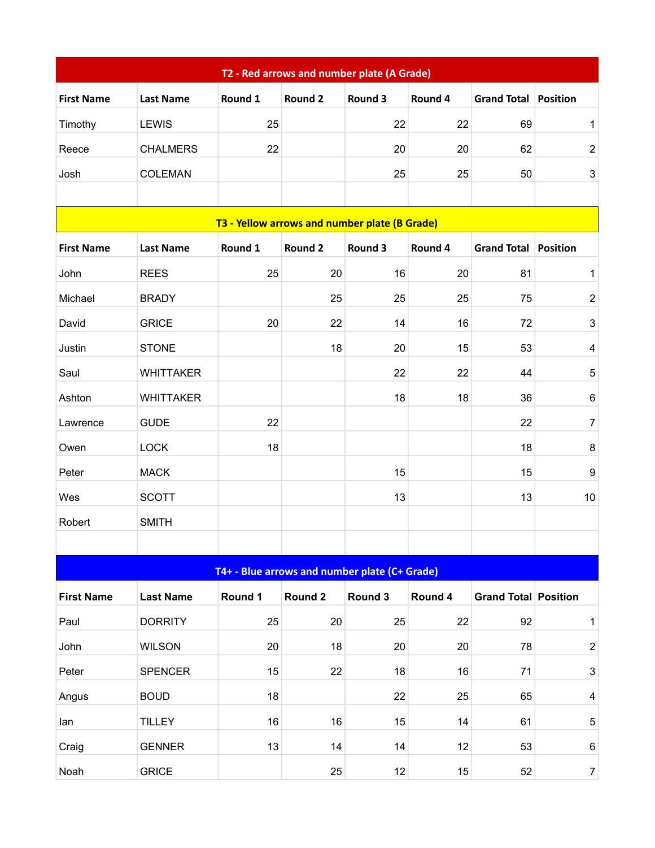| T2 - Red arrows and number plate (A Grade) |                                               |                                               |                |         |         |                             |                           |  |  |  |
|--------------------------------------------|-----------------------------------------------|-----------------------------------------------|----------------|---------|---------|-----------------------------|---------------------------|--|--|--|
| <b>First Name</b>                          | <b>Last Name</b>                              | Round 1                                       | Round 2        | Round 3 | Round 4 | <b>Grand Total</b>          | Position                  |  |  |  |
| Timothy                                    | <b>LEWIS</b>                                  | 25                                            |                | 22      | 22      | 69                          | $\mathbf 1$               |  |  |  |
| Reece                                      | <b>CHALMERS</b>                               | 22                                            |                | 20      | 20      | 62                          | $\mathbf 2$               |  |  |  |
| Josh                                       | <b>COLEMAN</b>                                |                                               |                | 25      | 25      | 50                          | 3                         |  |  |  |
|                                            |                                               |                                               |                |         |         |                             |                           |  |  |  |
|                                            | T3 - Yellow arrows and number plate (B Grade) |                                               |                |         |         |                             |                           |  |  |  |
| <b>First Name</b>                          | <b>Last Name</b>                              | Round 1                                       | <b>Round 2</b> | Round 3 | Round 4 | <b>Grand Total</b>          | Position                  |  |  |  |
| John                                       | <b>REES</b>                                   | 25                                            | 20             | 16      | 20      | 81                          | 1                         |  |  |  |
| Michael                                    | <b>BRADY</b>                                  |                                               | 25             | 25      | 25      | 75                          | $\mathbf 2$               |  |  |  |
| David                                      | <b>GRICE</b>                                  | 20                                            | 22             | 14      | 16      | 72                          | $\mathsf 3$               |  |  |  |
| Justin                                     | <b>STONE</b>                                  |                                               | 18             | 20      | 15      | 53                          | 4                         |  |  |  |
| Saul                                       | <b>WHITTAKER</b>                              |                                               |                | 22      | 22      | 44                          | 5                         |  |  |  |
| Ashton                                     | <b>WHITTAKER</b>                              |                                               |                | 18      | 18      | 36                          | 6                         |  |  |  |
| Lawrence                                   | <b>GUDE</b>                                   | 22                                            |                |         |         | 22                          | $\overline{7}$            |  |  |  |
| Owen                                       | <b>LOCK</b>                                   | 18                                            |                |         |         | 18                          | 8                         |  |  |  |
| Peter                                      | <b>MACK</b>                                   |                                               |                | 15      |         | 15                          | 9                         |  |  |  |
| Wes                                        | <b>SCOTT</b>                                  |                                               |                | 13      |         | 13                          | 10                        |  |  |  |
| Robert                                     | <b>SMITH</b>                                  |                                               |                |         |         |                             |                           |  |  |  |
|                                            |                                               |                                               |                |         |         |                             |                           |  |  |  |
|                                            |                                               | T4+ - Blue arrows and number plate (C+ Grade) |                |         |         |                             |                           |  |  |  |
| <b>First Name</b>                          | <b>Last Name</b>                              | Round 1                                       | Round 2        | Round 3 | Round 4 | <b>Grand Total Position</b> |                           |  |  |  |
| Paul                                       | <b>DORRITY</b>                                | 25                                            | 20             | 25      | 22      | 92                          | $\mathbf 1$               |  |  |  |
| John                                       | <b>WILSON</b>                                 | 20                                            | 18             | 20      | 20      | 78                          | $\boldsymbol{2}$          |  |  |  |
| Peter                                      | <b>SPENCER</b>                                | 15                                            | 22             | 18      | 16      | 71                          | $\ensuremath{\mathsf{3}}$ |  |  |  |
| Angus                                      | <b>BOUD</b>                                   | 18                                            |                | 22      | 25      | 65                          | $\overline{\mathbf{4}}$   |  |  |  |
| lan                                        | <b>TILLEY</b>                                 | 16                                            | 16             | 15      | 14      | 61                          | 5                         |  |  |  |
| Craig                                      | <b>GENNER</b>                                 | 13                                            | 14             | 14      | 12      | 53                          | $\,6$                     |  |  |  |
| Noah                                       | <b>GRICE</b>                                  |                                               | 25             | 12      | 15      | 52                          | $\boldsymbol{7}$          |  |  |  |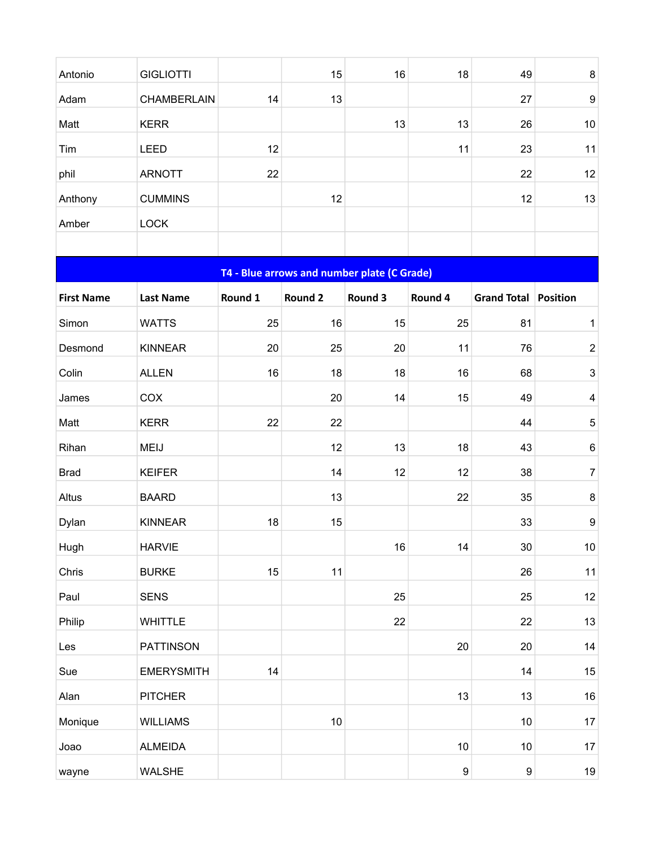| Antonio           | <b>GIGLIOTTI</b>  |         | 15                                          | 16      | 18               | 49                     | $\bf8$                    |
|-------------------|-------------------|---------|---------------------------------------------|---------|------------------|------------------------|---------------------------|
| Adam              | CHAMBERLAIN       | 14      | 13                                          |         |                  | 27                     | $\boldsymbol{9}$          |
| Matt              | <b>KERR</b>       |         |                                             | 13      | 13               | 26                     | 10                        |
| Tim               | <b>LEED</b>       | 12      |                                             |         | 11               | 23                     | 11                        |
| phil              | <b>ARNOTT</b>     | 22      |                                             |         |                  | 22                     | 12                        |
| Anthony           | <b>CUMMINS</b>    |         | 12                                          |         |                  | 12                     | 13                        |
| Amber             | <b>LOCK</b>       |         |                                             |         |                  |                        |                           |
|                   |                   |         |                                             |         |                  |                        |                           |
|                   |                   |         | T4 - Blue arrows and number plate (C Grade) |         |                  |                        |                           |
| <b>First Name</b> | <b>Last Name</b>  | Round 1 | Round 2                                     | Round 3 | Round 4          | Grand Total   Position |                           |
| Simon             | <b>WATTS</b>      | 25      | 16                                          | 15      | 25               | 81                     | $\mathbf 1$               |
| Desmond           | <b>KINNEAR</b>    | 20      | 25                                          | 20      | 11               | 76                     | $\boldsymbol{2}$          |
| Colin             | <b>ALLEN</b>      | 16      | 18                                          | 18      | 16               | 68                     | $\ensuremath{\mathsf{3}}$ |
| James             | COX               |         | 20                                          | 14      | 15               | 49                     | $\overline{\mathbf{4}}$   |
| Matt              | <b>KERR</b>       | 22      | 22                                          |         |                  | 44                     | $\mathbf 5$               |
| Rihan             | <b>MEIJ</b>       |         | 12                                          | 13      | 18               | 43                     | $\,6$                     |
| <b>Brad</b>       | <b>KEIFER</b>     |         | 14                                          | 12      | 12               | 38                     | $\boldsymbol{7}$          |
| Altus             | <b>BAARD</b>      |         | 13                                          |         | 22               | 35                     | $\,8\,$                   |
| Dylan             | <b>KINNEAR</b>    | 18      | 15                                          |         |                  | 33                     | $\boldsymbol{9}$          |
| Hugh              | <b>HARVIE</b>     |         |                                             | 16      | 14               | 30                     | 10                        |
| Chris             | <b>BURKE</b>      | 15      | 11                                          |         |                  | 26                     | 11                        |
| Paul              | <b>SENS</b>       |         |                                             | 25      |                  | 25                     | 12                        |
| Philip            | <b>WHITTLE</b>    |         |                                             | 22      |                  | 22                     | 13                        |
| Les               | <b>PATTINSON</b>  |         |                                             |         | 20               | 20                     | 14                        |
| Sue               | <b>EMERYSMITH</b> | 14      |                                             |         |                  | 14                     | 15                        |
| Alan              | <b>PITCHER</b>    |         |                                             |         | 13               | 13                     | 16                        |
| Monique           | <b>WILLIAMS</b>   |         | 10                                          |         |                  | 10                     | $17\,$                    |
| Joao              | <b>ALMEIDA</b>    |         |                                             |         | 10               | 10                     | $17\,$                    |
| wayne             | WALSHE            |         |                                             |         | $\boldsymbol{9}$ | $\boldsymbol{9}$       | $19$                      |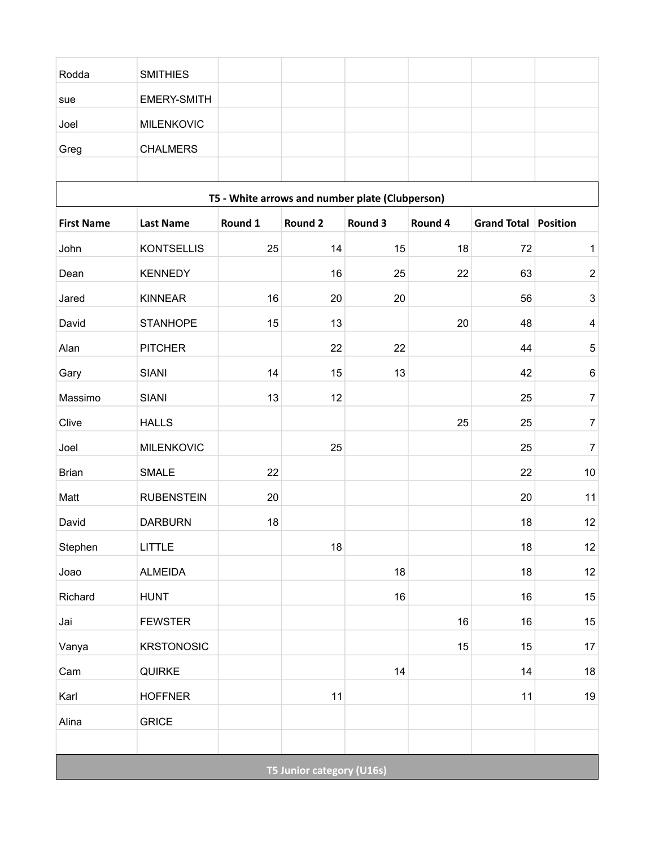| Rodda             | <b>SMITHIES</b>   |                                                 |                                  |         |         |             |                 |
|-------------------|-------------------|-------------------------------------------------|----------------------------------|---------|---------|-------------|-----------------|
| sue               | EMERY-SMITH       |                                                 |                                  |         |         |             |                 |
| Joel              | <b>MILENKOVIC</b> |                                                 |                                  |         |         |             |                 |
| Greg              | <b>CHALMERS</b>   |                                                 |                                  |         |         |             |                 |
|                   |                   |                                                 |                                  |         |         |             |                 |
|                   |                   | T5 - White arrows and number plate (Clubperson) |                                  |         |         |             |                 |
| <b>First Name</b> | <b>Last Name</b>  | Round 1                                         | <b>Round 2</b>                   | Round 3 | Round 4 | Grand Total | <b>Position</b> |
| John              | <b>KONTSELLIS</b> | 25                                              | 14                               | 15      | 18      | 72          | 1               |
| Dean              | <b>KENNEDY</b>    |                                                 | 16                               | 25      | 22      | 63          | $\overline{2}$  |
| Jared             | <b>KINNEAR</b>    | 16                                              | 20                               | 20      |         | 56          | 3               |
| David             | <b>STANHOPE</b>   | 15                                              | 13                               |         | 20      | 48          | $\overline{4}$  |
| Alan              | <b>PITCHER</b>    |                                                 | 22                               | 22      |         | 44          | 5               |
| Gary              | <b>SIANI</b>      | 14                                              | 15                               | 13      |         | 42          | $\,6$           |
| Massimo           | <b>SIANI</b>      | 13                                              | 12                               |         |         | 25          | $\overline{7}$  |
| Clive             | <b>HALLS</b>      |                                                 |                                  |         | 25      | 25          | $\overline{7}$  |
| Joel              | <b>MILENKOVIC</b> |                                                 | 25                               |         |         | 25          | $\overline{7}$  |
| <b>Brian</b>      | <b>SMALE</b>      | 22                                              |                                  |         |         | 22          | $10\,$          |
| Matt              | <b>RUBENSTEIN</b> | 20                                              |                                  |         |         | 20          | 11              |
| David             | <b>DARBURN</b>    | 18                                              |                                  |         |         | 18          | 12              |
| Stephen           | <b>LITTLE</b>     |                                                 | 18                               |         |         | 18          | $12\,$          |
| Joao              | <b>ALMEIDA</b>    |                                                 |                                  | 18      |         | 18          | $12$            |
| Richard           | <b>HUNT</b>       |                                                 |                                  | 16      |         | 16          | $15\,$          |
| Jai               | <b>FEWSTER</b>    |                                                 |                                  |         | 16      | 16          | $15\,$          |
| Vanya             | <b>KRSTONOSIC</b> |                                                 |                                  |         | 15      | 15          | 17              |
| Cam               | QUIRKE            |                                                 |                                  | 14      |         | 14          | $18\,$          |
| Karl              | <b>HOFFNER</b>    |                                                 | 11                               |         |         | 11          | $19$            |
| Alina             | <b>GRICE</b>      |                                                 |                                  |         |         |             |                 |
|                   |                   |                                                 |                                  |         |         |             |                 |
|                   |                   |                                                 | <b>T5 Junior category (U16s)</b> |         |         |             |                 |